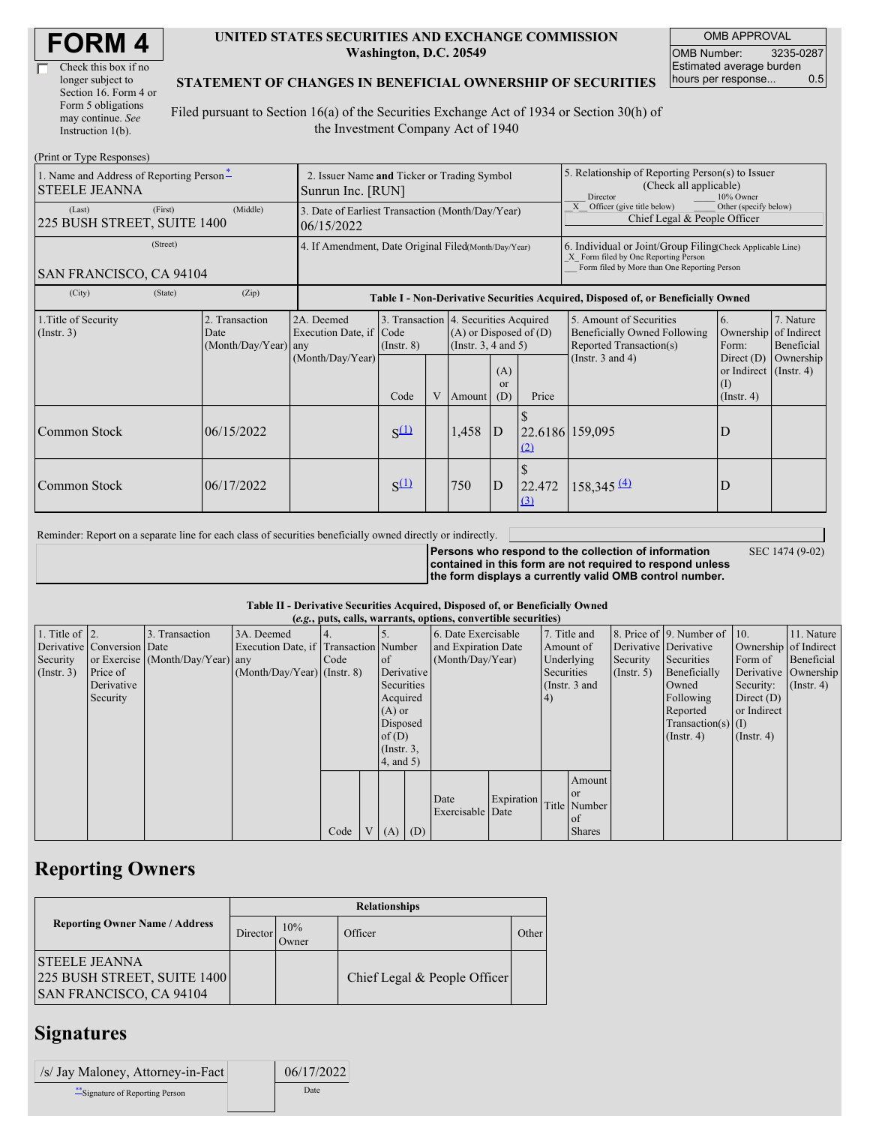| Check this box if no  |
|-----------------------|
| longer subject to     |
| Section 16. Form 4 or |
| Form 5 obligations    |
| may continue. See     |
| Instruction 1(b).     |

#### **UNITED STATES SECURITIES AND EXCHANGE COMMISSION Washington, D.C. 20549**

OMB APPROVAL OMB Number: 3235-0287 Estimated average burden hours per response... 0.5

#### **STATEMENT OF CHANGES IN BENEFICIAL OWNERSHIP OF SECURITIES**

Filed pursuant to Section 16(a) of the Securities Exchange Act of 1934 or Section 30(h) of the Investment Company Act of 1940

| (Print or Type Responses)                                        |                                                                  |                                                                                  |                                 |   |        |                                                                                                                                         |                                                                                                                                                    |                                                                                                             |                                                                                                     |                                                     |
|------------------------------------------------------------------|------------------------------------------------------------------|----------------------------------------------------------------------------------|---------------------------------|---|--------|-----------------------------------------------------------------------------------------------------------------------------------------|----------------------------------------------------------------------------------------------------------------------------------------------------|-------------------------------------------------------------------------------------------------------------|-----------------------------------------------------------------------------------------------------|-----------------------------------------------------|
| 1. Name and Address of Reporting Person-<br><b>STEELE JEANNA</b> | 2. Issuer Name and Ticker or Trading Symbol<br>Sunrun Inc. [RUN] |                                                                                  |                                 |   |        |                                                                                                                                         | 5. Relationship of Reporting Person(s) to Issuer<br>(Check all applicable)<br>Director<br>10% Owner                                                |                                                                                                             |                                                                                                     |                                                     |
| (First)<br>(Last)<br>225 BUSH STREET, SUITE 1400                 | 3. Date of Earliest Transaction (Month/Day/Year)<br>06/15/2022   |                                                                                  |                                 |   |        |                                                                                                                                         | X Officer (give title below)<br>Other (specify below)<br>Chief Legal & People Officer                                                              |                                                                                                             |                                                                                                     |                                                     |
| (Street)<br>SAN FRANCISCO, CA 94104                              | 4. If Amendment, Date Original Filed(Month/Day/Year)             |                                                                                  |                                 |   |        |                                                                                                                                         | 6. Individual or Joint/Group Filing(Check Applicable Line)<br>X Form filed by One Reporting Person<br>Form filed by More than One Reporting Person |                                                                                                             |                                                                                                     |                                                     |
| (City)<br>(State)                                                | (Zip)                                                            | Table I - Non-Derivative Securities Acquired, Disposed of, or Beneficially Owned |                                 |   |        |                                                                                                                                         |                                                                                                                                                    |                                                                                                             |                                                                                                     |                                                     |
| 1. Title of Security<br>(Insert. 3)                              | 2. Transaction<br>Date<br>(Month/Day/Year) any                   | 2A. Deemed<br>Execution Date, if<br>(Month/Day/Year)                             | Code<br>$($ Instr. $8)$<br>Code | V | Amount | 3. Transaction 4. Securities Acquired<br>$(A)$ or Disposed of $(D)$<br>(Instr. $3, 4$ and $5$ )<br>(A)<br><sub>or</sub><br>(D)<br>Price |                                                                                                                                                    | 5. Amount of Securities<br>Beneficially Owned Following<br>Reported Transaction(s)<br>(Instr. $3$ and $4$ ) | 6.<br>Ownership<br>Form:<br>Direct $(D)$<br>or Indirect $($ Instr. 4)<br>$($ I)<br>$($ Instr. 4 $)$ | 7. Nature<br>of Indirect<br>Beneficial<br>Ownership |
| Common Stock                                                     | 06/15/2022                                                       |                                                                                  | $S^{(1)}$                       |   | 1,458  | ID                                                                                                                                      | (2)                                                                                                                                                | 22.6186 159,095                                                                                             | D                                                                                                   |                                                     |
| Common Stock                                                     | 06/17/2022                                                       |                                                                                  | $S^{(1)}$                       |   | 750    | $\overline{D}$                                                                                                                          | 22.472<br>(3)                                                                                                                                      | $158,345 \frac{(4)}{2}$                                                                                     | D                                                                                                   |                                                     |

Reminder: Report on a separate line for each class of securities beneficially owned directly or indirectly.

**Persons who respond to the collection of information contained in this form are not required to respond unless the form displays a currently valid OMB control number.**

SEC 1474 (9-02)

**Table II - Derivative Securities Acquired, Disposed of, or Beneficially Owned**

| (e.g., puts, calls, warrants, options, convertible securities) |                            |                                  |                                       |      |  |                 |                     |                          |            |              |                 |                       |                              |                  |                      |
|----------------------------------------------------------------|----------------------------|----------------------------------|---------------------------------------|------|--|-----------------|---------------------|--------------------------|------------|--------------|-----------------|-----------------------|------------------------------|------------------|----------------------|
| 1. Title of $\vert$ 2.                                         |                            | 3. Transaction                   | 3A. Deemed                            |      |  |                 |                     | 6. Date Exercisable      |            | 7. Title and |                 |                       | 8. Price of 9. Number of 10. |                  | 11. Nature           |
|                                                                | Derivative Conversion Date |                                  | Execution Date, if Transaction Number |      |  |                 | and Expiration Date |                          | Amount of  |              |                 | Derivative Derivative | Ownership of Indirect        |                  |                      |
| Security                                                       |                            | or Exercise (Month/Day/Year) any |                                       | Code |  | $\circ$ f       |                     | (Month/Day/Year)         |            | Underlying   |                 | Security              | Securities                   | Form of          | Beneficial           |
| (Insert. 3)                                                    | Price of                   |                                  | $(Month/Day/Year)$ (Instr. 8)         |      |  | Derivative      |                     |                          |            | Securities   |                 | (Insert, 5)           | Beneficially                 |                  | Derivative Ownership |
|                                                                | Derivative                 |                                  |                                       |      |  | Securities      |                     |                          |            |              | (Instr. $3$ and |                       | Owned                        | Security:        | $($ Instr. 4)        |
|                                                                | Security                   |                                  |                                       |      |  | Acquired        |                     |                          |            | 4)           |                 |                       | Following                    | Direct $(D)$     |                      |
|                                                                |                            |                                  |                                       |      |  | $(A)$ or        |                     |                          |            |              |                 |                       | Reported                     | or Indirect      |                      |
|                                                                |                            |                                  |                                       |      |  | Disposed        |                     |                          |            |              |                 |                       | $Transaction(s)$ (I)         |                  |                      |
|                                                                |                            |                                  |                                       |      |  | of(D)           |                     |                          |            |              |                 |                       | $($ Instr. 4 $)$             | $($ Instr. 4 $)$ |                      |
|                                                                |                            |                                  |                                       |      |  | $($ Instr. $3,$ |                     |                          |            |              |                 |                       |                              |                  |                      |
|                                                                |                            |                                  |                                       |      |  | 4, and 5)       |                     |                          |            |              |                 |                       |                              |                  |                      |
|                                                                |                            |                                  |                                       |      |  |                 |                     |                          |            |              | Amount          |                       |                              |                  |                      |
|                                                                |                            |                                  |                                       |      |  |                 |                     |                          |            |              | <sub>or</sub>   |                       |                              |                  |                      |
|                                                                |                            |                                  |                                       |      |  |                 |                     | Date<br>Exercisable Date | Expiration |              | Title Number    |                       |                              |                  |                      |
|                                                                |                            |                                  |                                       |      |  |                 |                     |                          |            |              | of              |                       |                              |                  |                      |
|                                                                |                            |                                  |                                       | Code |  | $(A)$ $(D)$     |                     |                          |            |              | <b>Shares</b>   |                       |                              |                  |                      |

## **Reporting Owners**

|                                                                                        | <b>Relationships</b> |              |                              |       |  |  |  |  |  |  |
|----------------------------------------------------------------------------------------|----------------------|--------------|------------------------------|-------|--|--|--|--|--|--|
| <b>Reporting Owner Name / Address</b>                                                  | Director             | 10%<br>Jwner | Officer                      | Other |  |  |  |  |  |  |
| <b>ISTEELE JEANNA</b><br>225 BUSH STREET, SUITE 1400<br><b>SAN FRANCISCO, CA 94104</b> |                      |              | Chief Legal & People Officer |       |  |  |  |  |  |  |

### **Signatures**

| /s/ Jay Maloney, Attorney-in-Fact | 06/17/2022 |
|-----------------------------------|------------|
| ** Signature of Reporting Person  | Date       |